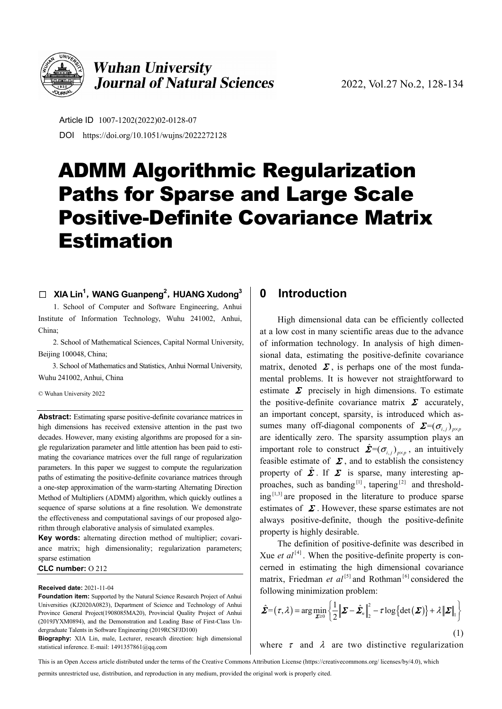

## **Wuhan University Journal of Natural Sciences**

Article ID 1007-1202(2022)02-0128-07 DOI https://doi.org/10.1051/wujns/2022272128

# ADMM Algorithmic Regularization Paths for Sparse and Large Scale Positive-Definite Covariance Matrix Estimation

#### □ XIA Lin<sup>1</sup>, WANG Guanpeng<sup>2</sup>, HUANG Xudong<sup>3</sup>

1. School of Computer and Software Engineering, Anhui Institute of Information Technology, Wuhu 241002, Anhui, China;

2. School of Mathematical Sciences, Capital Normal University, Beijing 100048, China;

3. School of Mathematics and Statistics, Anhui Normal University, Wuhu 241002, Anhui, China

© Wuhan University 2022

**Abstract:** Estimating sparse positive-definite covariance matrices in high dimensions has received extensive attention in the past two decades. However, many existing algorithms are proposed for a single regularization parameter and little attention has been paid to estimating the covariance matrices over the full range of regularization parameters. In this paper we suggest to compute the regularization paths of estimating the positive-definite covariance matrices through a one-step approximation of the warm-starting Alternating Direction Method of Multipliers (ADMM) algorithm, which quickly outlines a sequence of sparse solutions at a fine resolution. We demonstrate the effectiveness and computational savings of our proposed algorithm through elaborative analysis of simulated examples.

**Key words:** alternating direction method of multiplier; covariance matrix; high dimensionality; regularization parameters; sparse estimation

#### **CLC number:** O 212

#### **Received date:** 2021-11-04

**Foundation item:** Supported by the Natural Science Research Project of Anhui Universities (KJ2020A0823), Department of Science and Technology of Anhui Province General Project(1908085MA20), Provincial Quality Project of Anhui (2019JYXM0894), and the Demonstration and Leading Base of First-Class Undergraduate Talents in Software Engineering (2019RCSFJD100)

**Biography:** XIA Lin, male, Lecturer, research direction: high dimensional statistical inference. E-mail: 1491357861@qq.com

## **0 Introduction**

High dimensional data can be efficiently collected at a low cost in many scientific areas due to the advance of information technology. In analysis of high dimensional data, estimating the positive-definite covariance matrix, denoted  $\Sigma$ , is perhaps one of the most fundamental problems. It is however not straightforward to estimate  $\Sigma$  precisely in high dimensions. To estimate the positive-definite covariance matrix  $\Sigma$  accurately, an important concept, sparsity, is introduced which assumes many off-diagonal components of  $\mathbf{\Sigma} = (\sigma_{i,j})_{i \times p}$ are identically zero. The sparsity assumption plays an important role to construct  $\hat{\mathbf{\Sigma}} = (\sigma_{i,j})_{n \times n}$ , an intuitively feasible estimate of  $\Sigma$ , and to establish the consistency property of  $\hat{\Sigma}$ . If  $\Sigma$  is sparse, many interesting approaches, such as banding<sup>[1]</sup>, tapering<sup>[2]</sup> and threshold $ing$ <sup>[1,3]</sup> are proposed in the literature to produce sparse estimates of  $\Sigma$ . However, these sparse estimates are not always positive-definite, though the positive-definite property is highly desirable.

The definition of positive-definite was described in Xue *et al*<sup>[4]</sup>. When the positive-definite property is concerned in estimating the high dimensional covariance matrix, Friedman *et al*<sup>[5]</sup> and Rothman<sup>[6]</sup> considered the following minimization problem:

$$
\hat{\mathbf{\Sigma}} = (\tau, \lambda) = \arg\min_{\mathbf{\Sigma} \ge 0} \left\{ \frac{1}{2} \left\| \mathbf{\Sigma} - \hat{\mathbf{\Sigma}}_n \right\|_2^2 - \tau \log \left\{ \det(\mathbf{\Sigma}) \right\} + \lambda \left\| \mathbf{\Sigma} \right\|_1 \right\}
$$
\n(1)

where  $\tau$  and  $\lambda$  are two distinctive regularization

This is an Open Access article distributed under the terms of the Creative Commons Attribution License (https://creativecommons.org/ licenses/by/4.0), which

permits unrestricted use, distribution, and reproduction in any medium, provided the original work is properly cited.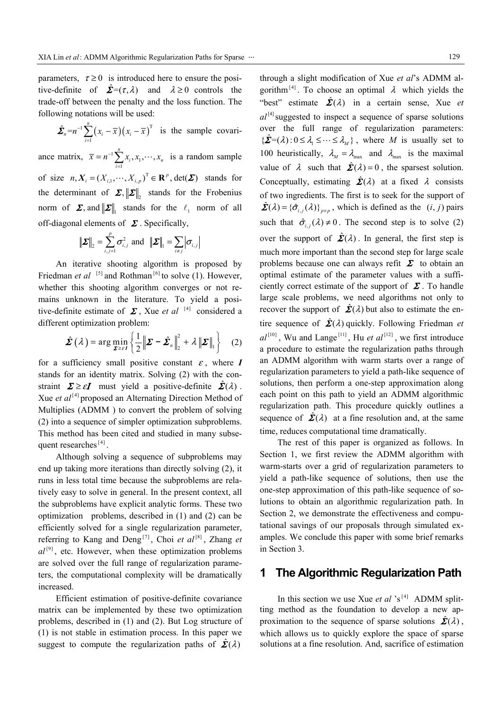parameters,  $\tau \ge 0$  is introduced here to ensure the positive-definite of  $\hat{\Sigma} = (\tau, \lambda)$  and  $\lambda \ge 0$  controls the trade-off between the penalty and the loss function. The following notations will be used:

$$
\hat{\boldsymbol{\Sigma}}_n = n^{-1} \sum_{i=1}^n (x_i - \overline{x}) (x_i - \overline{x})^{\mathrm{T}}
$$
 is the sample covari-

ance matrix,  $\overline{x} = n^{-1} \sum_{i=1}^{n} x_i, x_1$  $\sum_{i=1}^n x_i, x_1, \cdots,$  $\sum_{i=1}$   $\lambda_i$ ,  $\lambda_1$ ,  $\ldots$ ,  $\lambda_n$  $\overline{x} = n^{-1} \sum_{i} x_i, x_1, \cdots, x_n$  $= n^{-1} \sum_{i=1}^n x_i, x_1, \dots, x_n$  is a random sample of size  $n, X_i = (X_{i,1}, \dots, X_{i,p})^T \in \mathbb{R}^p$ , det $(\Sigma)$  stands for the determinant of  $\Sigma$ ,  $\|\Sigma\|$ , stands for the Frobenius norm of  $\Sigma$ , and  $\|\Sigma\|$ , stands for the  $\ell_1$  norm of all off-diagonal elements of  $\Sigma$ . Specifically,

$$
\|\boldsymbol{\varSigma}\|_{2} = \sum_{i,j=1}^{p} \sigma_{i,j}^{2} \text{ and } \|\boldsymbol{\varSigma}\|_{1} = \sum_{i \neq j} |\sigma_{i,j}|
$$

An iterative shooting algorithm is proposed by Friedman *et al* <sup>[5]</sup> and Rothman<sup>[6]</sup> to solve (1). However, whether this shooting algorithm converges or not remains unknown in the literature. To yield a positive-definite estimate of  $\Sigma$ , Xue *et al* [4] considered a different optimization problem:

$$
\hat{\mathbf{\Sigma}}\left(\lambda\right) = \arg\min_{\mathbf{\Sigma} \geq \epsilon I} \left\{ \frac{1}{2} \left\| \mathbf{\Sigma} - \hat{\mathbf{\Sigma}}_n \right\|_2^2 + \lambda \left\| \mathbf{\Sigma} \right\|_1 \right\} \quad (2)
$$

for a sufficiency small positive constant  $\varepsilon$ , where  $I$ stands for an identity matrix. Solving (2) with the constraint  $\Sigma \ge \varepsilon I$  must yield a positive-definite  $\hat{\Sigma}(\lambda)$ . Xue *et al*<sup>[4]</sup> proposed an Alternating Direction Method of Multiplies (ADMM ) to convert the problem of solving (2) into a sequence of simpler optimization subproblems. This method has been cited and studied in many subsequent researches<sup>[4]</sup>.

Although solving a sequence of subproblems may end up taking more iterations than directly solving (2), it runs in less total time because the subproblems are relatively easy to solve in general. In the present context, all the subproblems have explicit analytic forms. These two optimization problems, described in (1) and (2) can be efficiently solved for a single regularization parameter, referring to Kang and Deng<sup>[7]</sup>, Choi *et al*<sup>[8]</sup>, Zhang *et*  $al^{[9]}$ , etc. However, when these optimization problems are solved over the full range of regularization parameters, the computational complexity will be dramatically increased.

Efficient estimation of positive-definite covariance matrix can be implemented by these two optimization problems, described in (1) and (2). But Log structure of (1) is not stable in estimation process. In this paper we suggest to compute the regularization paths of  $\hat{\mathbf{\Sigma}}(\lambda)$ 

through a slight modification of Xue *et al*'s ADMM algorithm<sup>[4]</sup>. To choose an optimal  $\lambda$  which yields the "best" estimate  $\hat{\mathbf{\Sigma}}(\lambda)$  in a certain sense, Xue *et*  $aI<sup>[4]</sup>$ suggested to inspect a sequence of sparse solutions over the full range of regularization parameters:  $\{\hat{\mathbf{\Sigma}}=(\lambda): 0 \leq \lambda_1 \leq \cdots \leq \lambda_M\}$ , where *M* is usually set to 100 heuristically,  $\lambda_M = \lambda_{\text{max}}$  and  $\lambda_{\text{max}}$  is the maximal value of  $\lambda$  such that  $\hat{\Sigma}(\lambda) = 0$ , the sparsest solution. Conceptually, estimating  $\hat{\Sigma}(\lambda)$  at a fixed  $\lambda$  consists of two ingredients. The first is to seek for the support of  $\hat{\mathbf{\Sigma}}(\lambda) = {\hat{\sigma}_{i,j}(\lambda)}_{p \times p}$ , which is defined as the  $(i, j)$  pairs such that  $\hat{\sigma}_{i,j}(\lambda) \neq 0$ . The second step is to solve (2) over the support of  $\hat{\mathbf{\Sigma}}(\lambda)$ . In general, the first step is much more important than the second step for large scale problems because one can always refit  $\Sigma$  to obtain an optimal estimate of the parameter values with a sufficiently correct estimate of the support of  $\Sigma$ . To handle large scale problems, we need algorithms not only to recover the support of  $\hat{\mathbf{\Sigma}}(\lambda)$  but also to estimate the entire sequence of  $\hat{\mathbf{\Sigma}}(\lambda)$  quickly. Following Friedman *et*  $aI^{[10]}$  Wu and Lange<sup>[11]</sup> Hu *et al*<sup>[12]</sup> we first introduce a procedure to estimate the regularization paths through an ADMM algorithm with warm starts over a range of regularization parameters to yield a path-like sequence of solutions, then perform a one-step approximation along each point on this path to yield an ADMM algorithmic regularization path. This procedure quickly outlines a sequence of  $\hat{\mathbf{\Sigma}}(\lambda)$  at a fine resolution and, at the same time, reduces computational time dramatically.

The rest of this paper is organized as follows. In Section 1, we first review the ADMM algorithm with warm-starts over a grid of regularization parameters to yield a path-like sequence of solutions, then use the one-step approximation of this path-like sequence of solutions to obtain an algorithmic regularization path. In Section 2, we demonstrate the effectiveness and computational savings of our proposals through simulated examples. We conclude this paper with some brief remarks in Section 3.

### **1 The Algorithmic Regularization Path**

In this section we use Xue *et al*  $s^{[4]}$  ADMM splitting method as the foundation to develop a new approximation to the sequence of sparse solutions  $\hat{\mathbf{\Sigma}}(\lambda)$ , which allows us to quickly explore the space of sparse solutions at a fine resolution. And, sacrifice of estimation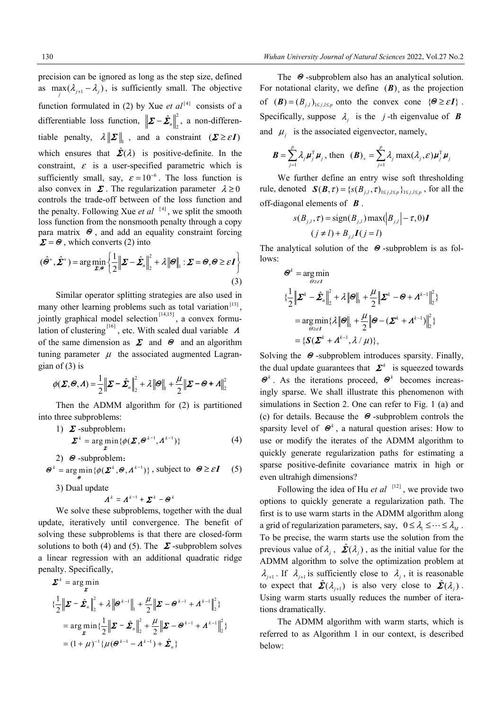precision can be ignored as long as the step size, defined as  $\max_{i} (\lambda_{j+1} - \lambda_j)$ , is sufficiently small. The objective function formulated in (2) by Xue *et al*<sup>[4]</sup> consists of a differentiable loss function,  $\left\| \mathbf{\Sigma} - \hat{\mathbf{\Sigma}}_n \right\|_2^2$ , a non-differentiable penalty,  $\lambda \|\Sigma\|$ , and a constraint  $(\Sigma \geq \varepsilon I)$ which ensures that  $\hat{\Sigma}(\lambda)$  is positive-definite. In the constraint,  $\varepsilon$  is a user-specified parametric which is sufficiently small, say,  $\varepsilon = 10^{-6}$ . The loss function is also convex in  $\Sigma$ . The regularization parameter  $\lambda \ge 0$ controls the trade-off between of the loss function and the penalty. Following Xue *et al* [4], we split the smooth loss function from the nonsmooth penalty through a copy para matrix  $\Theta$ , and add an equality constraint forcing  $\mathbf{\Sigma} = \mathbf{\Theta}$ , which converts (2) into

$$
(\hat{\boldsymbol{\Theta}}^+, \hat{\boldsymbol{\Sigma}}^+) = \arg\min_{\boldsymbol{\Sigma}, \boldsymbol{\Theta}} \left\{ \frac{1}{2} \left\| \boldsymbol{\Sigma} - \hat{\boldsymbol{\Sigma}}_n \right\|_2^2 + \lambda \left\| \boldsymbol{\Theta} \right\|_1 : \boldsymbol{\Sigma} = \boldsymbol{\Theta}, \boldsymbol{\Theta} \geq \varepsilon \boldsymbol{I} \right\}
$$
(3)

Similar operator splitting strategies are also used in many other learning problems such as total variation $[13]$ , jointly graphical model selection<sup> $[14,15]$ </sup>, a convex formulation of clustering  $\begin{bmatrix} 16 \\ 6 \end{bmatrix}$ , etc. With scaled dual variable  $\Lambda$ of the same dimension as  $\Sigma$  and  $\Theta$  and an algorithm tuning parameter  $\mu$  the associated augmented Lagrangian of  $(3)$  is

$$
\phi(\boldsymbol{\Sigma},\boldsymbol{\Theta},\boldsymbol{\Lambda})=\frac{1}{2}\|\boldsymbol{\Sigma}-\hat{\boldsymbol{\Sigma}}_n\|_2^2+\lambda\|\boldsymbol{\Theta}\|_1+\frac{\mu}{2}\|\boldsymbol{\Sigma}-\boldsymbol{\Theta}+\boldsymbol{\Lambda}\|_2^2
$$

Then the ADMM algorithm for (2) is partitioned into three subproblems:

1) 
$$
\Sigma
$$
-subproblem:  
\n
$$
\Sigma^{k} = \arg\min_{\Sigma} \{ \phi(\Sigma, \Theta^{k-1}, \Lambda^{k-1}) \}
$$
\n(4)

2) 
$$
\Theta
$$
-subproblem:  
\n
$$
\Theta^k = \underset{\Theta}{\arg\min} \{ \phi(\Sigma^k, \Theta, \Lambda^{k-1}) \}, \text{ subject to } \Theta \ge \varepsilon I \quad (5)
$$

3) Dual update

$$
\boldsymbol{\Lambda}^k = \boldsymbol{\Lambda}^{k-1} + \boldsymbol{\Sigma}^k - \boldsymbol{\Theta}^k
$$

We solve these subproblems, together with the dual update, iteratively until convergence. The benefit of solving these subproblems is that there are closed-form solutions to both (4) and (5). The  $\Sigma$ -subproblem solves a linear regression with an additional quadratic ridge penalty. Specifically,

$$
\Sigma^{k} = \arg\min_{\Sigma} \left\{ \frac{1}{2} \left\| \Sigma - \hat{\Sigma}_{n} \right\|_{2}^{2} + \lambda \left\| \Theta^{k-1} \right\|_{1} + \frac{\mu}{2} \left\| \Sigma - \Theta^{k-1} + A^{k-1} \right\|_{2}^{2} \right\}
$$
\n
$$
= \arg\min_{\Sigma} \left\{ \frac{1}{2} \left\| \Sigma - \hat{\Sigma}_{n} \right\|_{2}^{2} + \frac{\mu}{2} \left\| \Sigma - \Theta^{k-1} + A^{k-1} \right\|_{2}^{2} \right\}
$$
\n
$$
= (1 + \mu)^{-1} \left\{ \mu (\Theta^{k-1} - A^{k-1}) + \hat{\Sigma}_{n} \right\}
$$

The <sup>Θ</sup> -subproblem also has an analytical solution. For notational clarity, we define  $(B)$  as the projection of  $(\mathbf{B}) = (B_{i,l})_{1 \leq i,l \leq p}$  onto the convex cone  $\{\Theta \geq \varepsilon I\}$ . Specifically, suppose  $\lambda_i$  is the *j*-th eigenvalue of *B* and  $\mu_j$  is the associated eigenvector, namely,

$$
\boldsymbol{B} = \sum_{j=1}^{p} \lambda_j \boldsymbol{\mu}_j^{\mathrm{T}} \boldsymbol{\mu}_j \text{, then } (\boldsymbol{B})_+ = \sum_{j=1}^{p} \lambda_j \max(\lambda_j, \varepsilon) \boldsymbol{\mu}_j^{\mathrm{T}} \boldsymbol{\mu}_j
$$

We further define an entry wise soft thresholding rule, denoted  $\mathbf{S}(\mathbf{B}, \tau) = \{ s(B_{i,l}, \tau)_{1 \le i,l \le p} \}_{1 \le i,l \le p}$ , for all the off-diagonal elements of *B* .

$$
s(B_{j,l}, \tau) = \text{sign}(B_{j,l}) \max(|B_{j,l}| - \tau, 0)I
$$
  

$$
(j \neq l) + B_{j,l}I(j = l)
$$

The analytical solution of the  $\Theta$ -subproblem is as follows:

$$
\Theta^k = \underset{\Theta \ge \varepsilon I}{\arg \min} \n\{\frac{1}{2} \|\mathbf{\Sigma}^k - \hat{\mathbf{\Sigma}}_n\|_2^2 + \lambda \|\Theta\|_1 + \frac{\mu}{2} \|\mathbf{\Sigma}^k - \Theta + A^{k-1}\|_2^2\} \n= \underset{\Theta \ge \varepsilon I}{\arg \min} \{\lambda \|\Theta\|_1 + \frac{\mu}{2} \|\Theta - (\mathbf{\Sigma}^k + A^{k-1})\|_2^2\} \n= \{\mathbf{S}(\mathbf{\Sigma}^k + A^{k-1}, \lambda / \mu)\}_+ \n\}
$$

Solving the  $\Theta$ -subproblem introduces sparsity. Finally, the dual update guarantees that  $\boldsymbol{\Sigma}^k$  is squeezed towards <sup>Θ</sup>*<sup>k</sup>* . As the iterations proceed, Θ*<sup>k</sup>* becomes increasingly sparse. We shall illustrate this phenomenon with simulations in Section 2. One can refer to Fig. 1 (a) and (c) for details. Because the  $\Theta$ -subproblem controls the sparsity level of  $\mathcal{O}^k$ , a natural question arises: How to use or modify the iterates of the ADMM algorithm to quickly generate regularization paths for estimating a sparse positive-definite covariance matrix in high or even ultrahigh dimensions?

Following the idea of Hu *et al* [12], we provide two options to quickly generate a regularization path. The first is to use warm starts in the ADMM algorithm along a grid of regularization parameters, say,  $0 \le \lambda_1 \le \cdots \le \lambda_n$ . To be precise, the warm starts use the solution from the previous value of  $\lambda_i$ ,  $\hat{\mathbf{\Sigma}}(\lambda_i)$ , as the initial value for the ADMM algorithm to solve the optimization problem at  $\lambda_{i+1}$ . If  $\lambda_{i+1}$  is sufficiently close to  $\lambda_i$ , it is reasonable to expect that  $\hat{\mathbf{\Sigma}}(\lambda_{i+1})$  is also very close to  $\hat{\mathbf{\Sigma}}(\lambda_i)$ . Using warm starts usually reduces the number of iterations dramatically.

The ADMM algorithm with warm starts, which is referred to as Algorithm 1 in our context, is described below: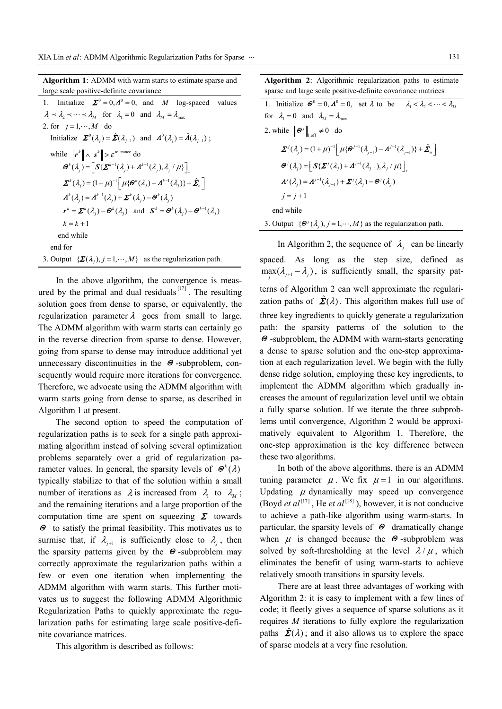| <b>Algorithm 1:</b> ADMM with warm starts to estimate sparse and                                                                                                                      |
|---------------------------------------------------------------------------------------------------------------------------------------------------------------------------------------|
| large scale positive-definite covariance                                                                                                                                              |
| Initialize $\Sigma^0 = 0$ , $A^0 = 0$ , and M log-spaced<br>1.<br>values                                                                                                              |
| $\lambda_1 \prec \lambda_2 \prec \cdots \prec \lambda_M$ for $\lambda_1 = 0$ and $\lambda_M = \lambda_{\max}$                                                                         |
| 2. for $j=1,\dots,M$ do                                                                                                                                                               |
| Initialize $\mathbf{\Sigma}^0(\lambda_i) = \hat{\mathbf{\Sigma}}(\lambda_{i-1})$ and $\mathbf{\Lambda}^0(\lambda_i) = \hat{\mathbf{\Lambda}}(\lambda_{i-1})$ ;                        |
| while $\ \mathbf{r}^k\  \wedge \ \mathbf{s}^k\  > \varepsilon^{\text{tolerance}}$ do                                                                                                  |
| $\boldsymbol{\Theta}^{k}(\lambda_{i})=\left \boldsymbol{S}\{\boldsymbol{\Sigma}^{k-1}(\lambda_{i})+\boldsymbol{\Lambda}^{k-1}(\lambda_{i}),\lambda_{i}/\mu\}\right $                  |
| $\boldsymbol{\Sigma}^{k}(\lambda_i) = (1+\mu)^{-1} \left[ \mu \{ \boldsymbol{\Theta}^{k}(\lambda_i) - \boldsymbol{\Lambda}^{k-1}(\lambda_i) \} + \hat{\boldsymbol{\Sigma}}_n \right]$ |
| $\boldsymbol{\Lambda}^k(\lambda_i) = \boldsymbol{\Lambda}^{k-1}(\lambda_i) + \boldsymbol{\Sigma}^k(\lambda_i) - \boldsymbol{\Theta}^k(\lambda_i)$                                     |
| $\mathbf{r}^k = \mathbf{\Sigma}^k(\lambda_i) - \mathbf{\Theta}^k(\lambda_i)$ and $\mathbf{S}^k = \mathbf{\Theta}^k(\lambda_i) - \mathbf{\Theta}^{k-1}(\lambda_i)$                     |
| $k = k + 1$                                                                                                                                                                           |
| end while                                                                                                                                                                             |
| end for                                                                                                                                                                               |
| 3. Output $\{\mathbf{\Sigma}(\lambda_i), j=1,\cdots,M\}$ as the regularization path.                                                                                                  |

In the above algorithm, the convergence is measured by the primal and dual residuals $\begin{bmatrix}17\end{bmatrix}$ . The resulting solution goes from dense to sparse, or equivalently, the regularization parameter  $\lambda$  goes from small to large. The ADMM algorithm with warm starts can certainly go in the reverse direction from sparse to dense. However, going from sparse to dense may introduce additional yet unnecessary discontinuities in the  $\Theta$ -subproblem, consequently would require more iterations for convergence. Therefore, we advocate using the ADMM algorithm with warm starts going from dense to sparse, as described in Algorithm 1 at present.

The second option to speed the computation of regularization paths is to seek for a single path approximating algorithm instead of solving several optimization problems separately over a grid of regularization parameter values. In general, the sparsity levels of  $\mathcal{O}^k(\lambda)$ typically stabilize to that of the solution within a small number of iterations as  $\lambda$  is increased from  $\lambda_1$  to  $\lambda_2$ ; and the remaining iterations and a large proportion of the computation time are spent on squeezing  $\Sigma$  towards <sup>Θ</sup> to satisfy the primal feasibility. This motivates us to surmise that, if  $\lambda_{i+1}$  is sufficiently close to  $\lambda_i$ , then the sparsity patterns given by the  $\Theta$ -subproblem may correctly approximate the regularization paths within a few or even one iteration when implementing the ADMM algorithm with warm starts. This further motivates us to suggest the following ADMM Algorithmic Regularization Paths to quickly approximate the regularization paths for estimating large scale positive-definite covariance matrices.

This algorithm is described as follows:

**Algorithm 2**: Algorithmic regularization paths to estimate sparse and large scale positive-definite covariance matrices

| 1. Initialize $\mathbf{\Theta}^0 = 0$ , $\mathbf{\Lambda}^0 = 0$ , set $\lambda$ to be $\lambda_1 < \lambda_2 < \cdots < \lambda_M$                                  |
|----------------------------------------------------------------------------------------------------------------------------------------------------------------------|
| for $\lambda_1 = 0$ and $\lambda_M = \lambda_{\text{max}}$                                                                                                           |
| 2. while $\ \boldsymbol{\Theta}^j\ _{\text{ref}} \neq 0$ do                                                                                                          |
| $\sum^{j} (\lambda_{i}) = (1 + \mu)^{-1} \left[ \mu \{ \Theta^{j-1}(\lambda_{i-1}) - A^{j-1}(\lambda_{i-1}) \} + \hat{\Sigma}_{n} \right]$                           |
| $\boldsymbol{\Theta}^{j}(\lambda_{i})=\left[\boldsymbol{S}\{\boldsymbol{\Sigma}^{j}(\lambda_{i})+\boldsymbol{\Lambda}^{j-1}(\lambda_{i-1}),\lambda_{i}/\mu\}\right]$ |
| $\mathbf{\Lambda}^{j}(\lambda_{i}) = \mathbf{\Lambda}^{j-1}(\lambda_{i-1}) + \mathbf{\Sigma}^{j}(\lambda_{i}) - \mathbf{\Theta}^{j}(\lambda_{i})$                    |
| $i = j + 1$                                                                                                                                                          |
| end while                                                                                                                                                            |
| 3. Output $\{\Theta^j(\lambda_i), j=1,\dots,M\}$ as the regularization path.                                                                                         |

In Algorithm 2, the sequence of  $\lambda_i$  can be linearly spaced. As long as the step size, defined as  $\max_{j}$  ( $\lambda_{j+1} - \lambda_j$ ), is sufficiently small, the sparsity patterns of Algorithm 2 can well approximate the regularization paths of  $\hat{\mathbf{\Sigma}}(\lambda)$ . This algorithm makes full use of three key ingredients to quickly generate a regularization path: the sparsity patterns of the solution to the Θ -subproblem, the ADMM with warm-starts generating a dense to sparse solution and the one-step approximation at each regularization level. We begin with the fully dense ridge solution, employing these key ingredients, to implement the ADMM algorithm which gradually increases the amount of regularization level until we obtain a fully sparse solution. If we iterate the three subproblems until convergence, Algorithm 2 would be approximatively equivalent to Algorithm 1. Therefore, the one-step approximation is the key difference between these two algorithms.

In both of the above algorithms, there is an ADMM tuning parameter  $\mu$ . We fix  $\mu = 1$  in our algorithms. Updating  $\mu$  dynamically may speed up convergence (Boyd *et al*<sup>[17]</sup>, He *et al*<sup>[18]</sup>), however, it is not conducive to achieve a path-like algorithm using warm-starts. In particular, the sparsity levels of  $\Theta$  dramatically change when  $\mu$  is changed because the  $\Theta$ -subproblem was solved by soft-thresholding at the level  $\lambda / \mu$ , which eliminates the benefit of using warm-starts to achieve relatively smooth transitions in sparsity levels.

There are at least three advantages of working with Algorithm 2: it is easy to implement with a few lines of code; it fleetly gives a sequence of sparse solutions as it requires *M* iterations to fully explore the regularization paths  $\hat{\mathbf{\Sigma}}(\lambda)$ ; and it also allows us to explore the space of sparse models at a very fine resolution.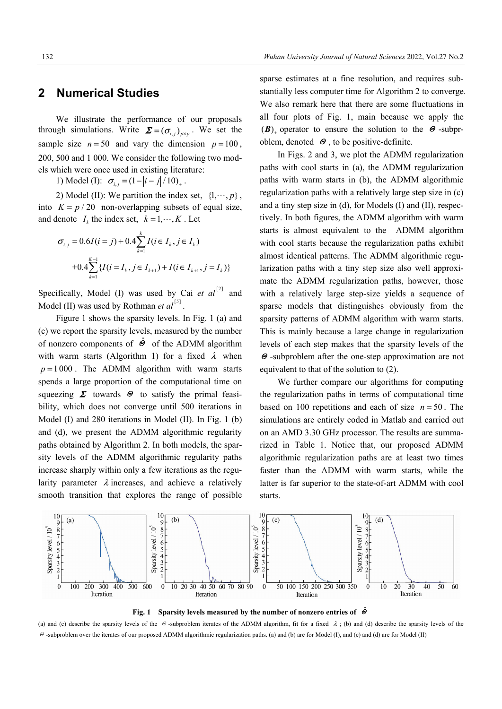#### **2 Numerical Studies**

We illustrate the performance of our proposals through simulations. Write  $\mathbf{\Sigma} = (\sigma_{i,j})_{n \times n}$ . We set the sample size  $n = 50$  and vary the dimension  $p = 100$ , 200, 500 and 1 000. We consider the following two models which were once used in existing literature:

1) Model (I):  $\sigma_{i,j} = (1 - |i - j|/10)_{+}$ .

2) Model (II): We partition the index set,  $\{1, \dots, p\}$ , into  $K = p / 20$  non-overlapping subsets of equal size, and denote  $I_k$  the index set,  $k = 1, \dots, K$ . Let

$$
\sigma_{i,j} = 0.6I(i = j) + 0.4 \sum_{k=1}^{k} I(i \in I_k, j \in I_k)
$$
  
+0.4  $\sum_{k=1}^{K-1} \{I(i = I_k, j \in I_{k+1}) + I(i \in I_{k+1}, j = I_k)\}$ 

Specifically, Model (I) was used by Cai  $et \text{ } al^{[2]}$  and Model (II) was used by Rothman *et al*<sup>[5]</sup>.

 Figure 1 shows the sparsity levels. In Fig. 1 (a) and (c) we report the sparsity levels, measured by the number of nonzero components of  $\Theta$  of the ADMM algorithm with warm starts (Algorithm 1) for a fixed  $\lambda$  when  $p = 1000$ . The ADMM algorithm with warm starts spends a large proportion of the computational time on squeezing  $\Sigma$  towards  $\Theta$  to satisfy the primal feasibility, which does not converge until 500 iterations in Model (I) and 280 iterations in Model (II). In Fig. 1 (b) and (d), we present the ADMM algorithmic regularity paths obtained by Algorithm 2. In both models, the sparsity levels of the ADMM algorithmic regularity paths increase sharply within only a few iterations as the regularity parameter  $\lambda$  increases, and achieve a relatively smooth transition that explores the range of possible sparse estimates at a fine resolution, and requires substantially less computer time for Algorithm 2 to converge. We also remark here that there are some fluctuations in all four plots of Fig. 1, main because we apply the (B) operator to ensure the solution to the  $\Theta$ -subproblem, denoted  $\Theta$ , to be positive-definite.

 In Figs. 2 and 3, we plot the ADMM regularization paths with cool starts in (a), the ADMM regularization paths with warm starts in (b), the ADMM algorithmic regularization paths with a relatively large step size in (c) and a tiny step size in (d), for Models (I) and (II), respectively. In both figures, the ADMM algorithm with warm starts is almost equivalent to the ADMM algorithm with cool starts because the regularization paths exhibit almost identical patterns. The ADMM algorithmic regularization paths with a tiny step size also well approximate the ADMM regularization paths, however, those with a relatively large step-size yields a sequence of sparse models that distinguishes obviously from the sparsity patterns of ADMM algorithm with warm starts. This is mainly because a large change in regularization levels of each step makes that the sparsity levels of the Θ -subproblem after the one-step approximation are not equivalent to that of the solution to (2).

We further compare our algorithms for computing the regularization paths in terms of computational time based on 100 repetitions and each of size  $n = 50$ . The simulations are entirely coded in Matlab and carried out on an AMD 3.30 GHz processor. The results are summarized in Table 1. Notice that, our proposed ADMM algorithmic regularization paths are at least two times faster than the ADMM with warm starts, while the latter is far superior to the state-of-art ADMM with cool starts.



**Fig. 1 Sparsity levels measured by the number of nonzero entries of** <sup>Θ</sup>ˆ

(a) and (c) describe the sparsity levels of the  $\Theta$ -subproblem iterates of the ADMM algorithm, fit for a fixed  $\lambda$ ; (b) and (d) describe the sparsity levels of the Θ -subproblem over the iterates of our proposed ADMM algorithmic regularization paths. (a) and (b) are for Model (I), and (c) and (d) are for Model (II)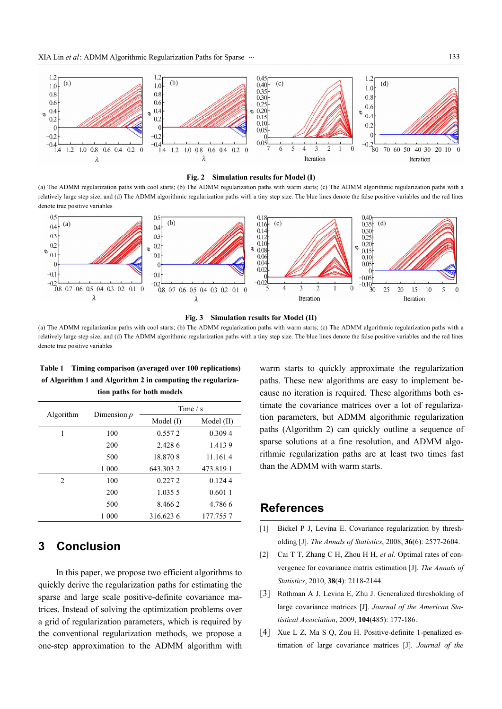

#### **Fig. 2 Simulation results for Model (I)**

(a) The ADMM regularization paths with cool starts; (b) The ADMM regularization paths with warm starts; (c) The ADMM algorithmic regularization paths with a relatively large step size; and (d) The ADMM algorithmic regularization paths with a tiny step size. The blue lines denote the false positive variables and the red lines denote true positive variables





(a) The ADMM regularization paths with cool starts; (b) The ADMM regularization paths with warm starts; (c) The ADMM algorithmic regularization paths with a relatively large step size; and (d) The ADMM algorithmic regularization paths with a tiny step size. The blue lines denote the false positive variables and the red lines denote true positive variables

| of Algorithm 1 and Algorithm 2 in computing the regulariza-<br>tion paths for both models |  |  |  |  |  |
|-------------------------------------------------------------------------------------------|--|--|--|--|--|
|                                                                                           |  |  |  |  |  |
|                                                                                           |  |  |  |  |  |

**Table 1 Timing comparison (averaged over 100 replications)** 

|           | Dimension $p$ | Time $/s$   |            |
|-----------|---------------|-------------|------------|
| Algorithm |               | Model $(I)$ | Model (II) |
| 1         | 100           | 0.5572      | 0.309.4    |
|           | 200           | 2.428.6     | 1.4139     |
|           | 500           | 18.870.8    | 11.161.4   |
|           | 1 000         | 643.303.2   | 473.8191   |
| 2         | 100           | 0.2272      | 0.1244     |
|           | 200           | 1.035.5     | 0.6011     |
|           | 500           | 8.4662      | 4.786.6    |
|           | 1 000         | 316.623.6   | 177.755.7  |

## **3 Conclusion**

In this paper, we propose two efficient algorithms to quickly derive the regularization paths for estimating the sparse and large scale positive-definite covariance matrices. Instead of solving the optimization problems over a grid of regularization parameters, which is required by the conventional regularization methods, we propose a one-step approximation to the ADMM algorithm with warm starts to quickly approximate the regularization paths. These new algorithms are easy to implement because no iteration is required. These algorithms both estimate the covariance matrices over a lot of regularization parameters, but ADMM algorithmic regularization paths (Algorithm 2) can quickly outline a sequence of sparse solutions at a fine resolution, and ADMM algorithmic regularization paths are at least two times fast than the ADMM with warm starts.

### **References**

- [1] Bickel P J, Levina E. Covariance regularization by thresholding [J]. *The Annals of Statistics*, 2008, **36**(6): 2577-2604.
- [2] Cai T T, Zhang C H, Zhou H H, *et al*. Optimal rates of convergence for covariance matrix estimation [J]. *The Annals of Statistics*, 2010, **38**(4): 2118-2144.
- [3] Rothman A J, Levina E, Zhu J. Generalized thresholding of large covariance matrices [J]. *Journal of the American Statistical Association*, 2009, **104**(485): 177-186.
- [4] Xue L Z, Ma S Q, Zou H. Positive-definite 1-penalized estimation of large covariance matrices [J]. *Journal of the*